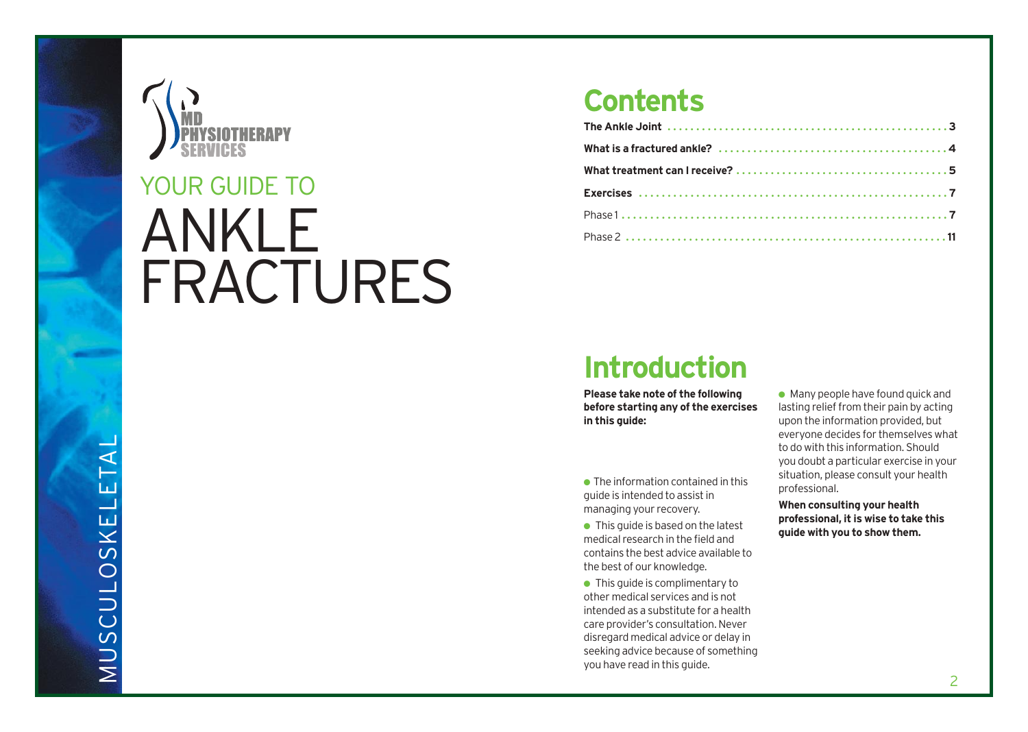

# ANKLE FRACTURES YOUR GUIDE TO

### **Contents**

### **Introduction**

**Please take note of the following before starting any of the exercises in this guide:**

 $\bullet$  The information contained in this guide is intended to assist in managing your recovery.

 $\bullet$  This guide is based on the latest medical research in the field and contains the best advice available to the best of our knowledge.

● This quide is complimentary to other medical services and is not intended as a substitute for a health care provider's consultation. Never disregard medical advice or delay in seeking advice because of something you have read in this guide.

 $\bullet$  Many people have found quick and lasting relief from their pain by acting upon the information provided, but everyone decides for themselves what to do with this information. Should you doubt a particular exercise in your situation, please consult your health professional.

**When consulting your health professional, it is wise to take this guide with you to show them.**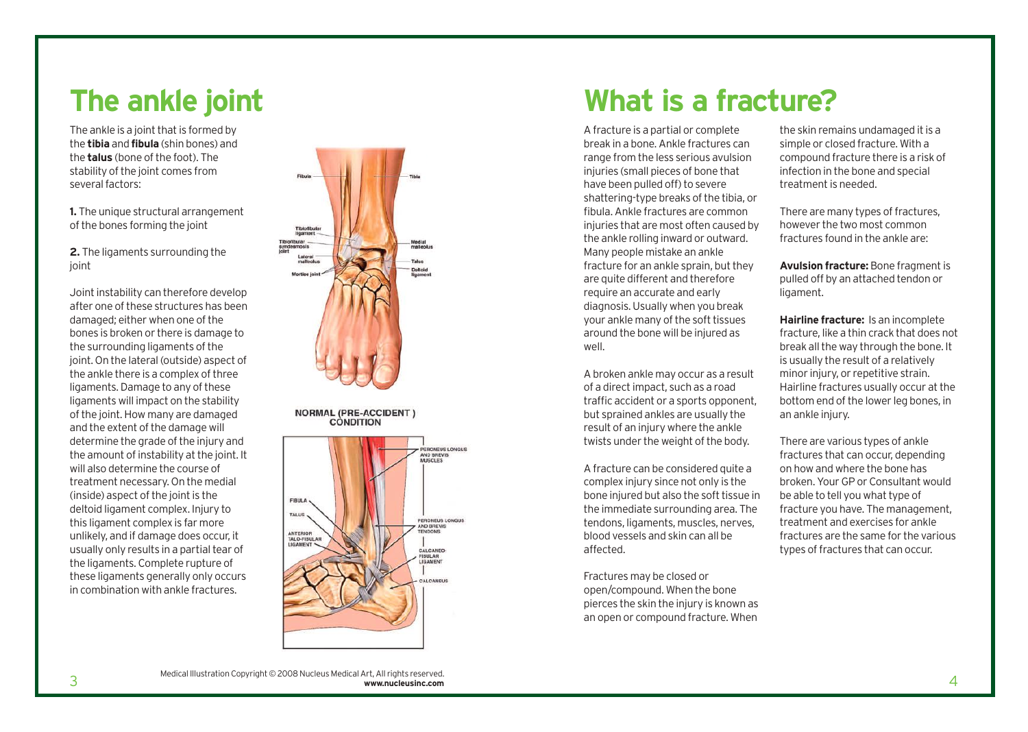### **The ankle joint**

The ankle is a joint that is formed by the **tibia** and **fibula** (shin bones) and the **talus** (bone of the foot). The stability of the joint comes from several factors:

**1.** The unique structural arrangement of the bones forming the joint

**2.** The ligaments surrounding the joint

Joint instability can therefore develop after one of these structures has been damaged; either when one of the bones is broken or there is damage to the surrounding ligaments of the joint. On the lateral (outside) aspect of the ankle there is a complex of three ligaments. Damage to any of these ligaments will impact on the stability of the joint. How many are damaged and the extent of the damage will determine the grade of the injury and the amount of instability at the joint. It will also determine the course of treatment necessary. On the medial (inside) aspect of the joint is the deltoid ligament complex. Injury to this ligament complex is far more unlikely, and if damage does occur, it usually only results in a partial tear of the ligaments. Complete rupture of these ligaments generally only occurs in combination with ankle fractures.



**NORMAL (PRE-ACCIDENT)** CONDITION



### **What is a fracture?**

A fracture is a partial or complete break in a bone. Ankle fractures can range from the less serious avulsion injuries (small pieces of bone that have been pulled off) to severe shattering-type breaks of the tibia, or fibula. Ankle fractures are common injuries that are most often caused by the ankle rolling inward or outward. Many people mistake an ankle fracture for an ankle sprain, but they are quite different and therefore require an accurate and early diagnosis. Usually when you break your ankle many of the soft tissues around the bone will be injured as well.

A broken ankle may occur as a result of a direct impact, such as a road traffic accident or a sports opponent, but sprained ankles are usually the result of an injury where the ankle twists under the weight of the body.

A fracture can be considered quite a complex injury since not only is the bone injured but also the soft tissue in the immediate surrounding area. The tendons, ligaments, muscles, nerves, blood vessels and skin can all be affected.

Fractures may be closed or open/compound. When the bone pierces the skin the injury is known as an open or compound fracture. When

the skin remains undamaged it is a simple or closed fracture. With a compound fracture there is a risk of infection in the bone and special treatment is needed.

There are many types of fractures, however the two most common fractures found in the ankle are:

**Avulsion fracture:** Bone fragment is pulled off by an attached tendon or ligament.

**Hairline fracture:** Is an incomplete fracture, like a thin crack that does not break all the way through the bone. It is usually the result of a relatively minor injury, or repetitive strain. Hairline fractures usually occur at the bottom end of the lower leg bones, in an ankle injury.

There are various types of ankle fractures that can occur, depending on how and where the bone has broken. Your GP or Consultant would be able to tell you what type of fracture you have. The management, treatment and exercises for ankle fractures are the same for the various types of fractures that can occur.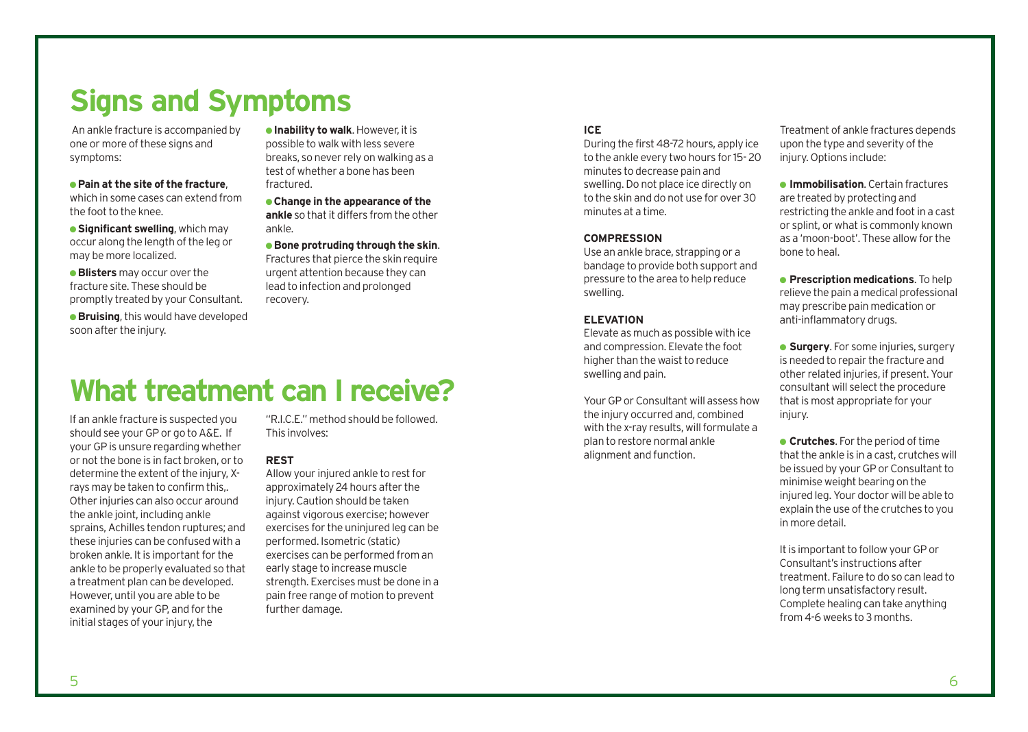### **Signs and Symptoms**

An ankle fracture is accompanied by one or more of these signs and symptoms:

#### ● **Pain at the site of the fracture**, which in some cases can extend from the foot to the knee.

**• Significant swelling**, which may occur along the length of the leg or may be more localized.

● **Blisters** may occur over the fracture site. These should be promptly treated by your Consultant.

**• Bruising**, this would have developed soon after the injury.

● **Inability to walk**. However, it is possible to walk with less severe breaks, so never rely on walking as a test of whether a bone has been fractured.

● **Change in the appearance of the ankle** so that it differs from the other ankle.

● **Bone protruding through the skin**. Fractures that pierce the skin require urgent attention because they can lead to infection and prolonged recovery.

### **What treatment can I receive?**

If an ankle fracture is suspected you should see your GP or go to A&E. If your GP is unsure regarding whether or not the bone is in fact broken, or to determine the extent of the injury, Xrays may be taken to confirm this,. Other injuries can also occur around the ankle joint, including ankle sprains, Achilles tendon ruptures; and these injuries can be confused with a broken ankle. It is important for the ankle to be properly evaluated so that a treatment plan can be developed. However, until you are able to be examined by your GP, and for the initial stages of your injury, the

"R.I.C.E." method should be followed. This involves:

### **REST**

Allow your injured ankle to rest for approximately 24 hours after the injury. Caution should be taken against vigorous exercise; however exercises for the uninjured leg can be performed. Isometric (static) exercises can be performed from an early stage to increase muscle strength. Exercises must be done in a pain free range of motion to prevent further damage.

#### **ICE**

During the first 48-72 hours, apply ice to the ankle every two hours for 15- 20 minutes to decrease pain and swelling. Do not place ice directly on to the skin and do not use for over 30 minutes at a time.

### **COMPRESSION**

Use an ankle brace, strapping or a bandage to provide both support and pressure to the area to help reduce swelling.

### **ELEVATION**

Elevate as much as possible with ice and compression. Elevate the foot higher than the waist to reduce swelling and pain.

Your GP or Consultant will assess how the injury occurred and, combined with the x-ray results, will formulate a plan to restore normal ankle alignment and function.

Treatment of ankle fractures depends upon the type and severity of the injury. Options include:

● **Immobilisation**. Certain fractures are treated by protecting and restricting the ankle and foot in a cast or splint, or what is commonly known as a 'moon-boot'. These allow for the bone to heal.

● **Prescription medications**. To help relieve the pain a medical professional may prescribe pain medication or anti-inflammatory drugs.

**• Surgery.** For some injuries, surgery is needed to repair the fracture and other related injuries, if present. Your consultant will select the procedure that is most appropriate for your injury.

● **Crutches**. For the period of time that the ankle is in a cast, crutches will be issued by your GP or Consultant to minimise weight bearing on the injured leg. Your doctor will be able to explain the use of the crutches to you in more detail.

It is important to follow your GP or Consultant's instructions after treatment. Failure to do so can lead to long term unsatisfactory result. Complete healing can take anything from 4-6 weeks to 3 months.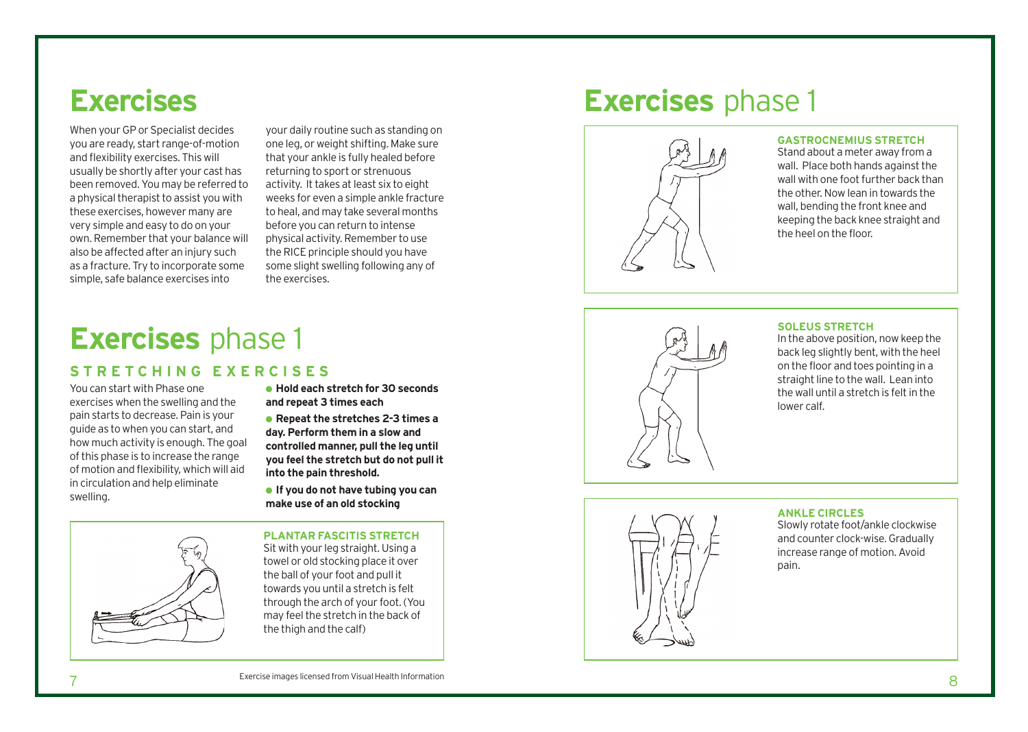### **Exercises**

When your GP or Specialist decides you are ready, start range-of-motion and flexibility exercises. This will usually be shortly after your cast has been removed. You may be referred to a physical therapist to assist you with these exercises, however many are very simple and easy to do on your own. Remember that your balance will also be affected after an injury such as a fracture. Try to incorporate some simple, safe balance exercises into

your daily routine such as standing on one leg, or weight shifting. Make sure that your ankle is fully healed before returning to sport or strenuous activity. It takes at least six to eight weeks for even a simple ankle fracture to heal, and may take several months before you can return to intense physical activity. Remember to use the RICE principle should you have some slight swelling following any of the exercises.

## **Exercises** phase 1

### **STRETCHING EXERCISES**

You can start with Phase one exercises when the swelling and the pain starts to decrease. Pain is your guide as to when you can start, and how much activity is enough. The goal of this phase is to increase the range of motion and flexibility, which will aid in circulation and help eliminate swelling.



● **Hold each stretch for 30 seconds and repeat 3 times each**

● **Repeat the stretches 2-3 times a day. Perform them in a slow and controlled manner, pull the leg until you feel the stretch but do not pull it into the pain threshold.**

● **If you do not have tubing you can make use of an old stocking**

#### **PLANTAR FASCITIS STRETCH**

Sit with your leg straight. Using a towel or old stocking place it over the ball of your foot and pull it towards you until a stretch is felt through the arch of your foot. (You may feel the stretch in the back of the thigh and the calf)

### **Exercises** phase 1



#### **GASTROCNEMIUS STRETCH**

Stand about a meter away from a wall. Place both hands against the wall with one foot further back than the other. Now lean in towards the wall, bending the front knee and keeping the back knee straight and the heel on the floor.



#### **SOLEUS STRETCH**

In the above position, now keep the back leg slightly bent, with the heel on the floor and toes pointing in a straight line to the wall. Lean into the wall until a stretch is felt in the lower calf.



### **ANKLE CIRCLES**

Slowly rotate foot/ankle clockwise and counter clock-wise. Gradually increase range of motion. Avoid pain.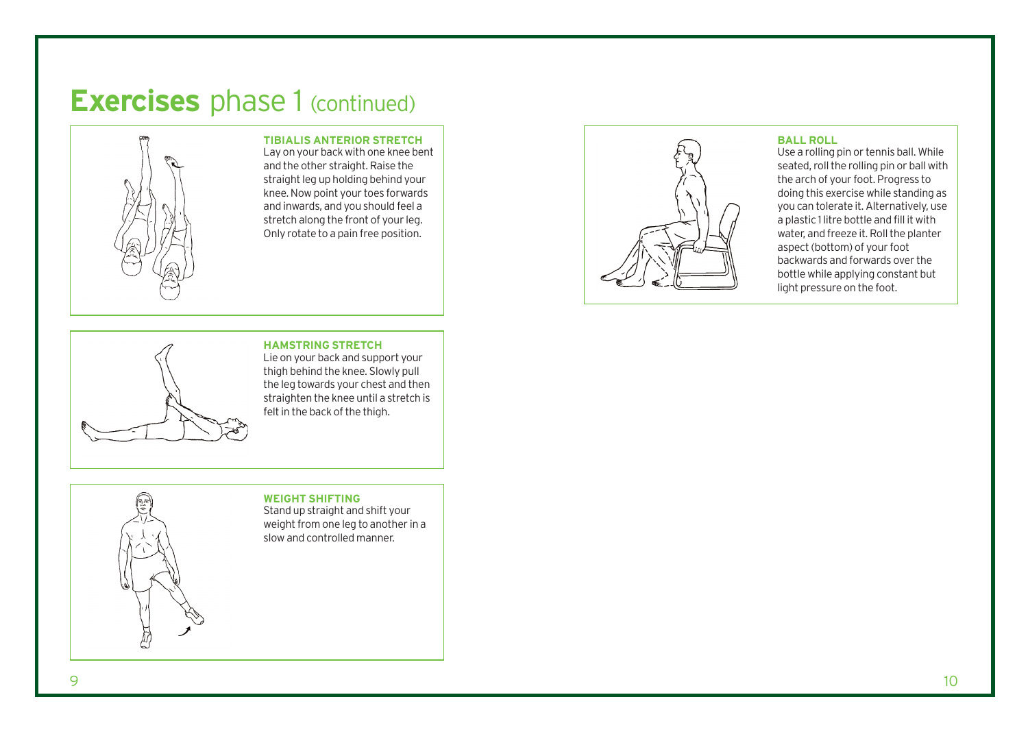### **Exercises** phase 1 (continued)



**TIBIALIS ANTERIOR STRETCH** Lay on your back with one knee bent and the other straight. Raise the straight leg up holding behind your knee. Now point your toes forwards and inwards, and you should feel a stretch along the front of your leg. Only rotate to a pain free position.

#### **BALL ROLL**

Use a rolling pin or tennis ball. While seated, roll the rolling pin or ball with the arch of your foot. Progress to doing this exercise while standing as you can tolerate it. Alternatively, use a plastic 1 litre bottle and fill it with water, and freeze it. Roll the planter aspect (bottom) of your foot backwards and forwards over the bottle while applying constant but light pressure on the foot.



**HAMSTRING STRETCH**  Lie on your back and support your thigh behind the knee. Slowly pull the leg towards your chest and then straighten the knee until a stretch is

### **WEIGHT SHIFTING**

felt in the back of the thigh.

Stand up straight and shift your weight from one leg to another in a slow and controlled manner.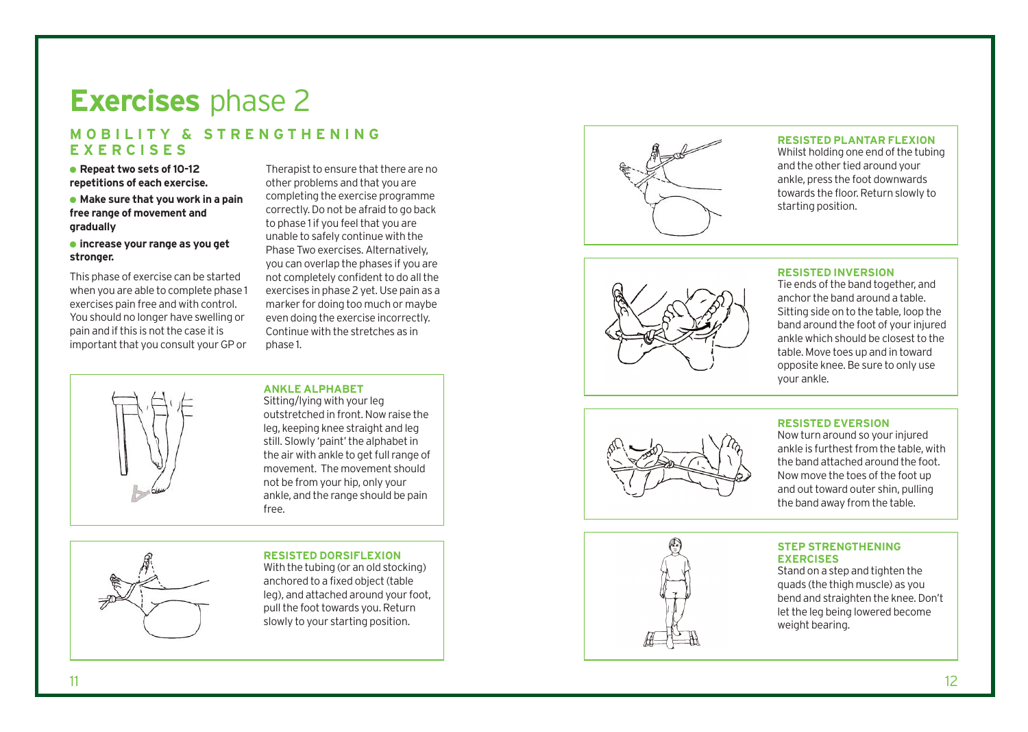### **Exercises** phase 2

### **MOBILITY & STRENGTHENING EXERCISES**

● **Repeat two sets of 10-12 repetitions of each exercise.**

### ● **Make sure that you work in a pain free range of movement and gradually**

#### ● **increase your range as you get stronger.**

This phase of exercise can be started when you are able to complete phase 1 exercises pain free and with control. You should no longer have swelling or pain and if this is not the case it is important that you consult your GP or

Therapist to ensure that there are no other problems and that you are completing the exercise programme correctly. Do not be afraid to go back to phase 1 if you feel that you are unable to safely continue with the Phase Two exercises. Alternatively, you can overlap the phases if you are not completely confident to do all the exercises in phase 2 yet. Use pain as a marker for doing too much or maybe even doing the exercise incorrectly. Continue with the stretches as in phase 1.

#### **ANKLE ALPHABET**

Sitting/lying with your leg out str etched in front. Now raise the leg, keeping knee straight and leg still. Slowly 'paint' the alphabet in the air with ankle to get full range o f movement. The movement should not be from your hip, only your ankle, and the range should be pain free.



#### **RESISTED DORSIFLEXION**

With the tubing (or an old stocking) anchored to a fixed object (table leg), and attached around your foot, pull the foot towards you. Return slowly to your starting position.



#### **RESISTED PLANTAR FLEXION**

Whilst holding one end of the tubing and the other tied around your ankle, press the foot downwards towards the floor. Return slowly to starting position.



### **RESISTED INVERSION**

Tie ends of the band together, and anchor the band around a table. Sitting side on to the table, loop the band around the foot of your injured ankle which should be closest to the table. Move toes up and in toward opposite knee. Be sure to only use your ankle.



### **RESISTED EVERSION**

Now turn around so your injured ankle is furthe st from the table, with the band attached around the foot. Now move the toes of the foot up and out t o ward outer shin, pulling the band away from the table.



### **STEP STRENGTHENING EXERCISES**

Stand on a step and tighten the quads (the thigh muscle) as you bend and straighten the knee. Don't let the leg being lowered become weight bearing.